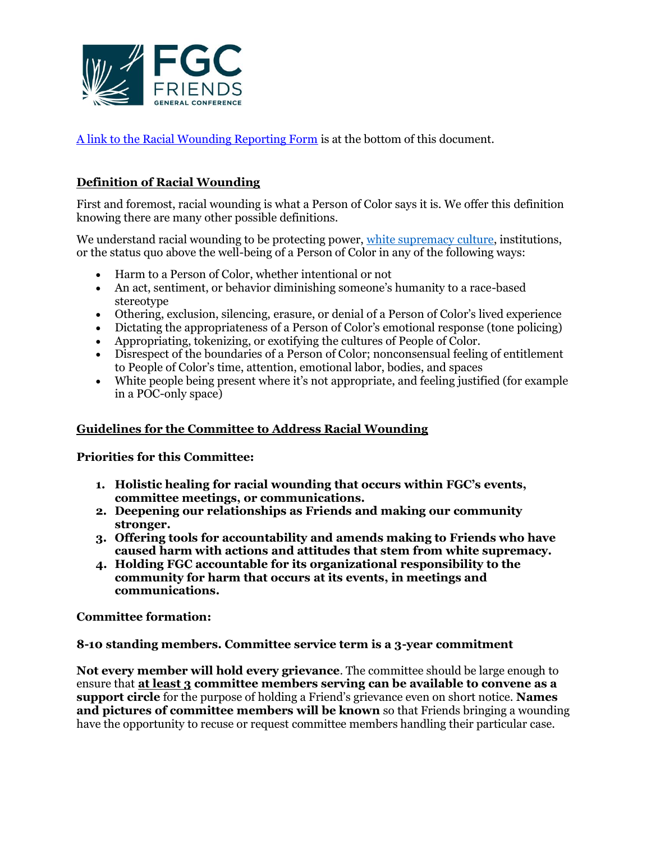

[A link to the Racial Wounding Reporting Form](https://www.tfaforms.com/4911219) is at the bottom of this document.

## **Definition of Racial Wounding**

First and foremost, racial wounding is what a Person of Color says it is. We offer this definition knowing there are many other possible definitions.

We understand racial wounding to be protecting power, [white supremacy culture,](https://www.thc.texas.gov/public/upload/preserve/museums/files/White_Supremacy_Culture.pdf) institutions, or the status quo above the well-being of a Person of Color in any of the following ways:

- Harm to a Person of Color, whether intentional or not
- An act, sentiment, or behavior diminishing someone's humanity to a race-based stereotype
- Othering, exclusion, silencing, erasure, or denial of a Person of Color's lived experience
- Dictating the appropriateness of a Person of Color's emotional response (tone policing)
- Appropriating, tokenizing, or exotifying the cultures of People of Color.
- Disrespect of the boundaries of a Person of Color; nonconsensual feeling of entitlement to People of Color's time, attention, emotional labor, bodies, and spaces
- White people being present where it's not appropriate, and feeling justified (for example in a POC-only space)

### **Guidelines for the Committee to Address Racial Wounding**

**Priorities for this Committee:**

- **1. Holistic healing for racial wounding that occurs within FGC's events, committee meetings, or communications.**
- **2. Deepening our relationships as Friends and making our community stronger.**
- **3. Offering tools for accountability and amends making to Friends who have caused harm with actions and attitudes that stem from white supremacy.**
- **4. Holding FGC accountable for its organizational responsibility to the community for harm that occurs at its events, in meetings and communications.**

**Committee formation:**

#### **8-10 standing members. Committee service term is a 3-year commitment**

**Not every member will hold every grievance**. The committee should be large enough to ensure that **at least 3 committee members serving can be available to convene as a support circle** for the purpose of holding a Friend's grievance even on short notice. **Names and pictures of committee members will be known** so that Friends bringing a wounding have the opportunity to recuse or request committee members handling their particular case.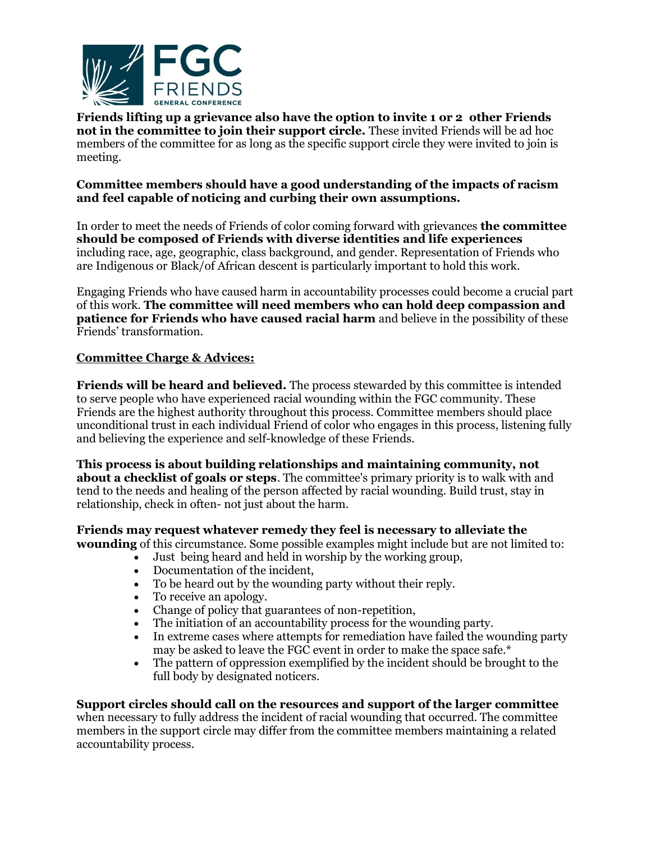

**Friends lifting up a grievance also have the option to invite 1 or 2 other Friends not in the committee to join their support circle.** These invited Friends will be ad hoc members of the committee for as long as the specific support circle they were invited to join is meeting.

### **Committee members should have a good understanding of the impacts of racism and feel capable of noticing and curbing their own assumptions.**

In order to meet the needs of Friends of color coming forward with grievances **the committee should be composed of Friends with diverse identities and life experiences**  including race, age, geographic, class background, and gender. Representation of Friends who are Indigenous or Black/of African descent is particularly important to hold this work.

Engaging Friends who have caused harm in accountability processes could become a crucial part of this work. **The committee will need members who can hold deep compassion and patience for Friends who have caused racial harm** and believe in the possibility of these Friends' transformation.

## **Committee Charge & Advices:**

**Friends will be heard and believed.** The process stewarded by this committee is intended to serve people who have experienced racial wounding within the FGC community. These Friends are the highest authority throughout this process. Committee members should place unconditional trust in each individual Friend of color who engages in this process, listening fully and believing the experience and self-knowledge of these Friends.

**This process is about building relationships and maintaining community, not about a checklist of goals or steps**. The committee's primary priority is to walk with and tend to the needs and healing of the person affected by racial wounding. Build trust, stay in relationship, check in often- not just about the harm.

# **Friends may request whatever remedy they feel is necessary to alleviate the**

**wounding** of this circumstance. Some possible examples might include but are not limited to:

- Just being heard and held in worship by the working group,
- Documentation of the incident,
- To be heard out by the wounding party without their reply.
- To receive an apology.
- Change of policy that guarantees of non-repetition,
- The initiation of an accountability process for the wounding party.
- In extreme cases where attempts for remediation have failed the wounding party may be asked to leave the FGC event in order to make the space safe. $*$
- The pattern of oppression exemplified by the incident should be brought to the full body by designated noticers.

# **Support circles should call on the resources and support of the larger committee**

when necessary to fully address the incident of racial wounding that occurred. The committee members in the support circle may differ from the committee members maintaining a related accountability process.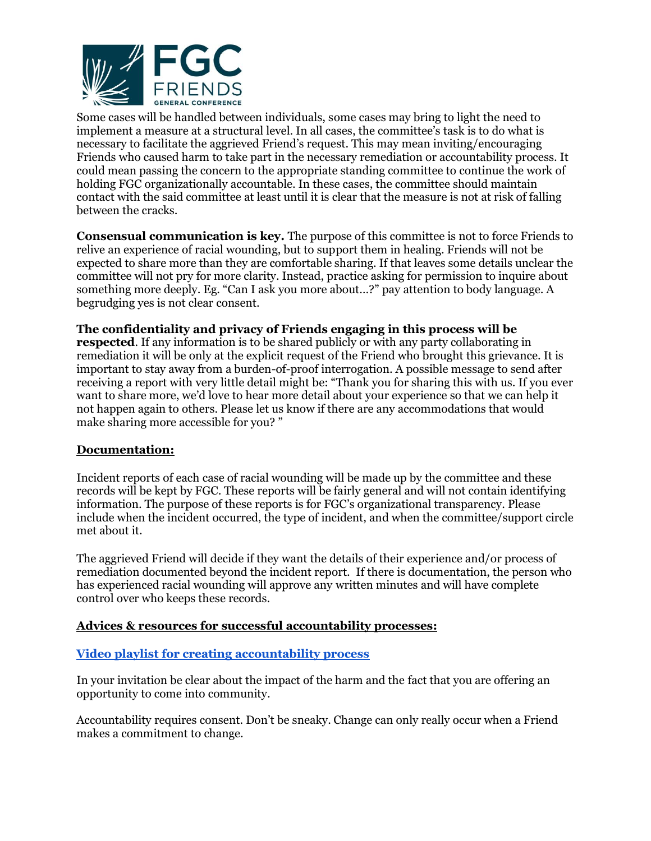

Some cases will be handled between individuals, some cases may bring to light the need to implement a measure at a structural level. In all cases, the committee's task is to do what is necessary to facilitate the aggrieved Friend's request. This may mean inviting/encouraging Friends who caused harm to take part in the necessary remediation or accountability process. It could mean passing the concern to the appropriate standing committee to continue the work of holding FGC organizationally accountable. In these cases, the committee should maintain contact with the said committee at least until it is clear that the measure is not at risk of falling between the cracks.

**Consensual communication is key.** The purpose of this committee is not to force Friends to relive an experience of racial wounding, but to support them in healing. Friends will not be expected to share more than they are comfortable sharing. If that leaves some details unclear the committee will not pry for more clarity. Instead, practice asking for permission to inquire about something more deeply. Eg. "Can I ask you more about…?" pay attention to body language. A begrudging yes is not clear consent.

**The confidentiality and privacy of Friends engaging in this process will be respected**. If any information is to be shared publicly or with any party collaborating in remediation it will be only at the explicit request of the Friend who brought this grievance. It is important to stay away from a burden-of-proof interrogation. A possible message to send after receiving a report with very little detail might be: "Thank you for sharing this with us. If you ever want to share more, we'd love to hear more detail about your experience so that we can help it not happen again to others. Please let us know if there are any accommodations that would make sharing more accessible for you? "

### **Documentation:**

Incident reports of each case of racial wounding will be made up by the committee and these records will be kept by FGC. These reports will be fairly general and will not contain identifying information. The purpose of these reports is for FGC's organizational transparency. Please include when the incident occurred, the type of incident, and when the committee/support circle met about it.

The aggrieved Friend will decide if they want the details of their experience and/or process of remediation documented beyond the incident report. If there is documentation, the person who has experienced racial wounding will approve any written minutes and will have complete control over who keeps these records.

#### **Advices & resources for successful accountability processes:**

### **[Video playlist for creating accountability process](https://www.youtube.com/playlist?list=PLegFiOwpmmjgWqo60eJrUtCkVQU2erq9V)**

In your invitation be clear about the impact of the harm and the fact that you are offering an opportunity to come into community.

Accountability requires consent. Don't be sneaky. Change can only really occur when a Friend makes a commitment to change.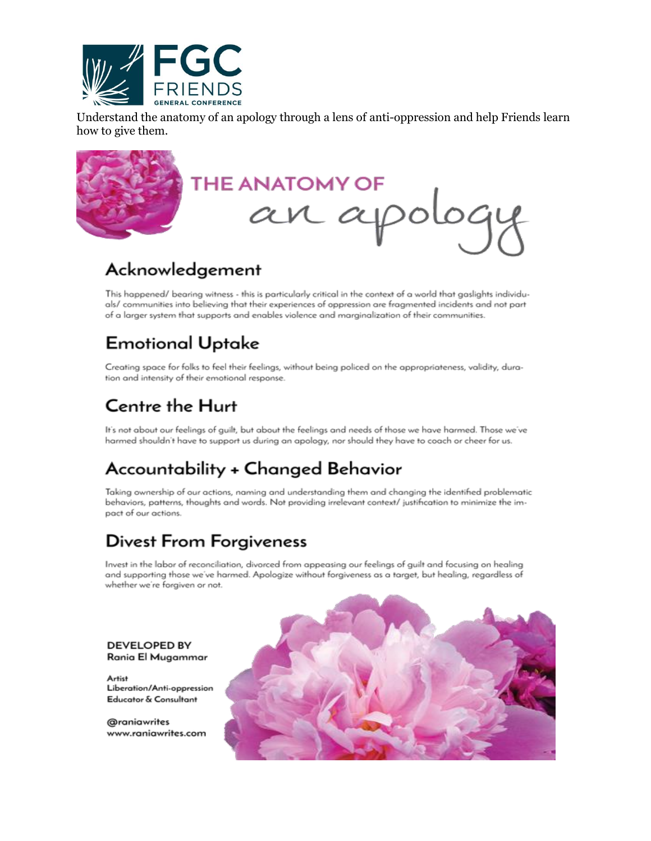

Understand the anatomy of an apology through a lens of anti-oppression and help Friends learn how to give them.



# Acknowledgement

This happened/ bearing witness - this is particularly critical in the context of a world that gaslights individuals/ communities into believing that their experiences of oppression are fragmented incidents and not part of a larger system that supports and enables violence and marginalization of their communities.

# **Emotional Uptake**

Creating space for folks to feel their feelings, without being policed on the appropriateness, validity, duration and intensity of their emotional response.

# Centre the Hurt

It's not about our feelings of guilt, but about the feelings and needs of those we have harmed. Those we've harmed shouldn't have to support us during an apology, nor should they have to coach or cheer for us.

# Accountability + Changed Behavior

Taking ownership of our actions, naming and understanding them and changing the identified problematic behaviors, patterns, thoughts and words. Not providing irrelevant context/ justification to minimize the impact of our actions.

# **Divest From Forgiveness**

Invest in the labor of reconciliation, divorced from appeasing our feelings of guilt and focusing on healing and supporting those we've harmed. Apologize without forgiveness as a target, but healing, regardless of whether we're forgiven or not.



#### **DEVELOPED BY** Rania El Mugammar

Artist Liberation/Anti-oppression Educator & Consultant

@raniawrites www.raniawrites.com